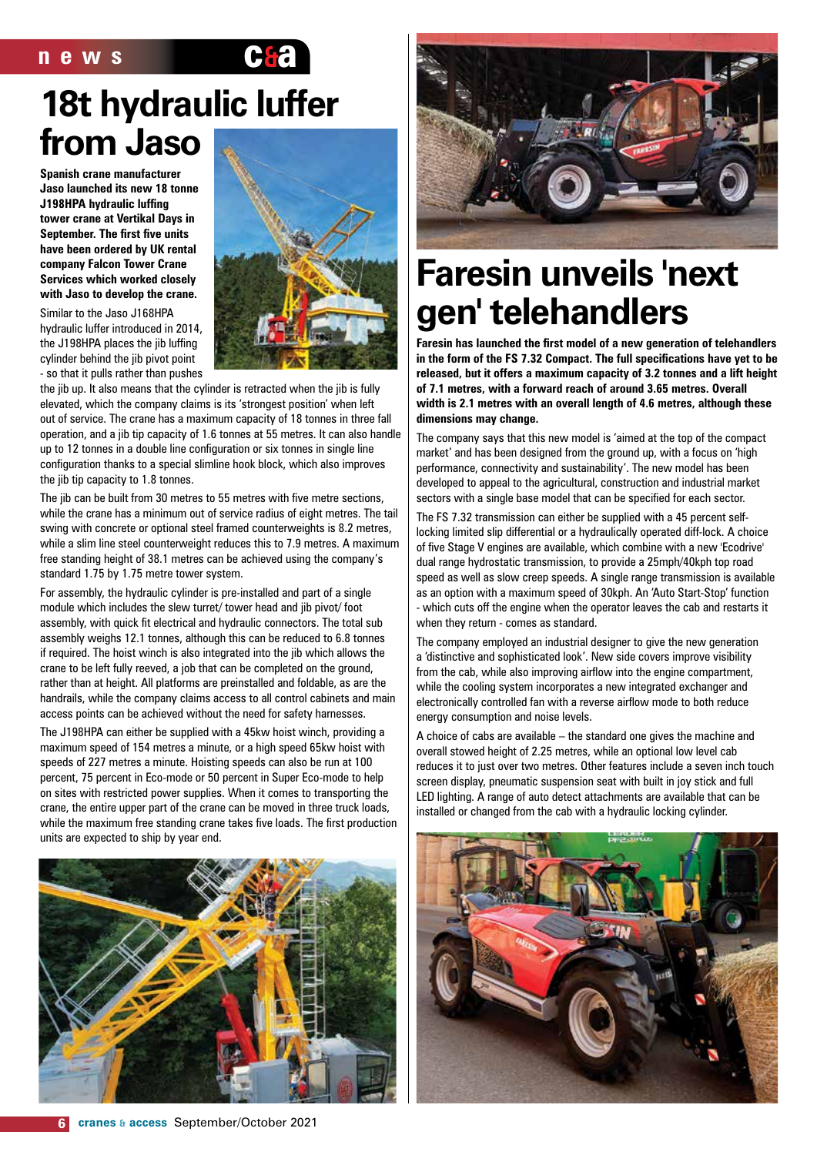

### **18t hydraulic luffer from Jaso**

**Spanish crane manufacturer Jaso launched its new 18 tonne J198HPA hydraulic luffing tower crane at Vertikal Days in September. The first five units have been ordered by UK rental company Falcon Tower Crane Services which worked closely with Jaso to develop the crane.**

Similar to the Jaso J168HPA hydraulic luffer introduced in 2014, the J198HPA places the jib luffing cylinder behind the jib pivot point - so that it pulls rather than pushes



the jib up. It also means that the cylinder is retracted when the jib is fully elevated, which the company claims is its 'strongest position' when left out of service. The crane has a maximum capacity of 18 tonnes in three fall operation, and a jib tip capacity of 1.6 tonnes at 55 metres. It can also handle up to 12 tonnes in a double line configuration or six tonnes in single line configuration thanks to a special slimline hook block, which also improves the jib tip capacity to 1.8 tonnes.

The jib can be built from 30 metres to 55 metres with five metre sections, while the crane has a minimum out of service radius of eight metres. The tail swing with concrete or optional steel framed counterweights is 8.2 metres, while a slim line steel counterweight reduces this to 7.9 metres. A maximum free standing height of 38.1 metres can be achieved using the company's standard 1.75 by 1.75 metre tower system.

For assembly, the hydraulic cylinder is pre-installed and part of a single module which includes the slew turret/ tower head and jib pivot/ foot assembly, with quick fit electrical and hydraulic connectors. The total sub assembly weighs 12.1 tonnes, although this can be reduced to 6.8 tonnes if required. The hoist winch is also integrated into the jib which allows the crane to be left fully reeved, a job that can be completed on the ground, rather than at height. All platforms are preinstalled and foldable, as are the handrails, while the company claims access to all control cabinets and main access points can be achieved without the need for safety harnesses.

The J198HPA can either be supplied with a 45kw hoist winch, providing a maximum speed of 154 metres a minute, or a high speed 65kw hoist with speeds of 227 metres a minute. Hoisting speeds can also be run at 100 percent, 75 percent in Eco-mode or 50 percent in Super Eco-mode to help on sites with restricted power supplies. When it comes to transporting the crane, the entire upper part of the crane can be moved in three truck loads, while the maximum free standing crane takes five loads. The first production units are expected to ship by year end.





### **Faresin unveils 'next gen' telehandlers**

**Faresin has launched the first model of a new generation of telehandlers in the form of the FS 7.32 Compact. The full specifications have yet to be released, but it offers a maximum capacity of 3.2 tonnes and a lift height of 7.1 metres, with a forward reach of around 3.65 metres. Overall width is 2.1 metres with an overall length of 4.6 metres, although these dimensions may change.**

The company says that this new model is 'aimed at the top of the compact market' and has been designed from the ground up, with a focus on 'high performance, connectivity and sustainability'. The new model has been developed to appeal to the agricultural, construction and industrial market sectors with a single base model that can be specified for each sector.

The FS 7.32 transmission can either be supplied with a 45 percent selflocking limited slip differential or a hydraulically operated diff-lock. A choice of five Stage V engines are available, which combine with a new 'Ecodrive' dual range hydrostatic transmission, to provide a 25mph/40kph top road speed as well as slow creep speeds. A single range transmission is available as an option with a maximum speed of 30kph. An 'Auto Start-Stop' function - which cuts off the engine when the operator leaves the cab and restarts it when they return - comes as standard.

The company employed an industrial designer to give the new generation a 'distinctive and sophisticated look'. New side covers improve visibility from the cab, while also improving airflow into the engine compartment, while the cooling system incorporates a new integrated exchanger and electronically controlled fan with a reverse airflow mode to both reduce energy consumption and noise levels.

A choice of cabs are available – the standard one gives the machine and overall stowed height of 2.25 metres, while an optional low level cab reduces it to just over two metres. Other features include a seven inch touch screen display, pneumatic suspension seat with built in joy stick and full LED lighting. A range of auto detect attachments are available that can be installed or changed from the cab with a hydraulic locking cylinder.

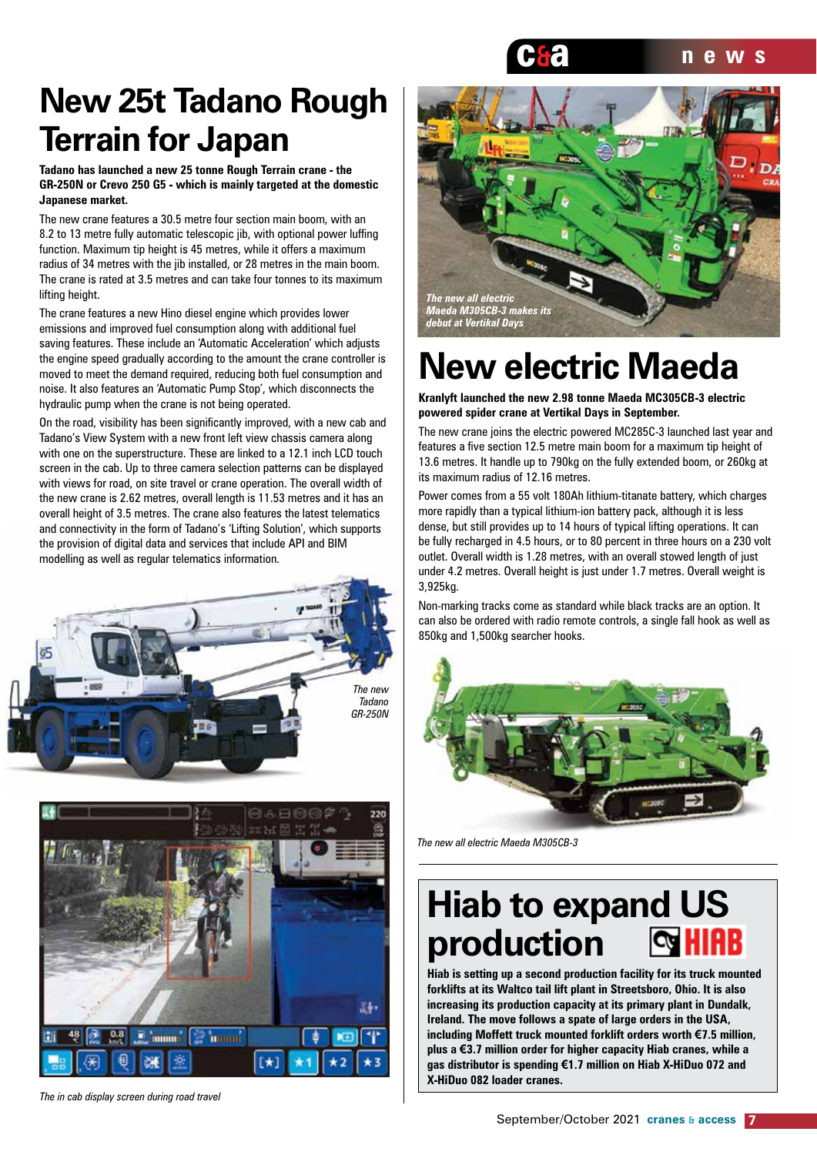

### **New 25t Tadano Rough Terrain for Japan**

**Tadano has launched a new 25 tonne Rough Terrain crane - the GR-250N or Crevo 250 G5 - which is mainly targeted at the domestic Japanese market.**

The new crane features a 30.5 metre four section main boom, with an 8.2 to 13 metre fully automatic telescopic jib, with optional power luffing function. Maximum tip height is 45 metres, while it offers a maximum radius of 34 metres with the jib installed, or 28 metres in the main boom. The crane is rated at 3.5 metres and can take four tonnes to its maximum lifting height.

The crane features a new Hino diesel engine which provides lower emissions and improved fuel consumption along with additional fuel saving features. These include an 'Automatic Acceleration' which adjusts the engine speed gradually according to the amount the crane controller is moved to meet the demand required, reducing both fuel consumption and noise. It also features an 'Automatic Pump Stop', which disconnects the hydraulic pump when the crane is not being operated.

On the road, visibility has been significantly improved, with a new cab and Tadano's View System with a new front left view chassis camera along with one on the superstructure. These are linked to a 12.1 inch LCD touch screen in the cab. Up to three camera selection patterns can be displayed with views for road, on site travel or crane operation. The overall width of the new crane is 2.62 metres, overall length is 11.53 metres and it has an overall height of 3.5 metres. The crane also features the latest telematics and connectivity in the form of Tadano's 'Lifting Solution', which supports the provision of digital data and services that include API and BIM modelling as well as regular telematics information.





*The in cab display screen during road travel*



### **New electric Maeda**

**Kranlyft launched the new 2.98 tonne Maeda MC305CB-3 electric powered spider crane at Vertikal Days in September.**

The new crane joins the electric powered MC285C-3 launched last year and features a five section 12.5 metre main boom for a maximum tip height of 13.6 metres. It handle up to 790kg on the fully extended boom, or 260kg at its maximum radius of 12.16 metres.

Power comes from a 55 volt 180Ah lithium-titanate battery, which charges more rapidly than a typical lithium-ion battery pack, although it is less dense, but still provides up to 14 hours of typical lifting operations. It can be fully recharged in 4.5 hours, or to 80 percent in three hours on a 230 volt outlet. Overall width is 1.28 metres, with an overall stowed length of just under 4.2 metres. Overall height is just under 1.7 metres. Overall weight is 3,925kg.

Non-marking tracks come as standard while black tracks are an option. It can also be ordered with radio remote controls, a single fall hook as well as 850kg and 1,500kg searcher hooks.



*The new all electric Maeda M305CB-3*

#### **Hiab to expand US**   $\approx$  HIAB **production**

**Hiab is setting up a second production facility for its truck mounted forklifts at its Waltco tail lift plant in Streetsboro, Ohio. It is also increasing its production capacity at its primary plant in Dundalk, Ireland. The move follows a spate of large orders in the USA, including Moffett truck mounted forklift orders worth €7.5 million, plus a €3.7 million order for higher capacity Hiab cranes, while a gas distributor is spending €1.7 million on Hiab X-HiDuo 072 and X-HiDuo 082 loader cranes.**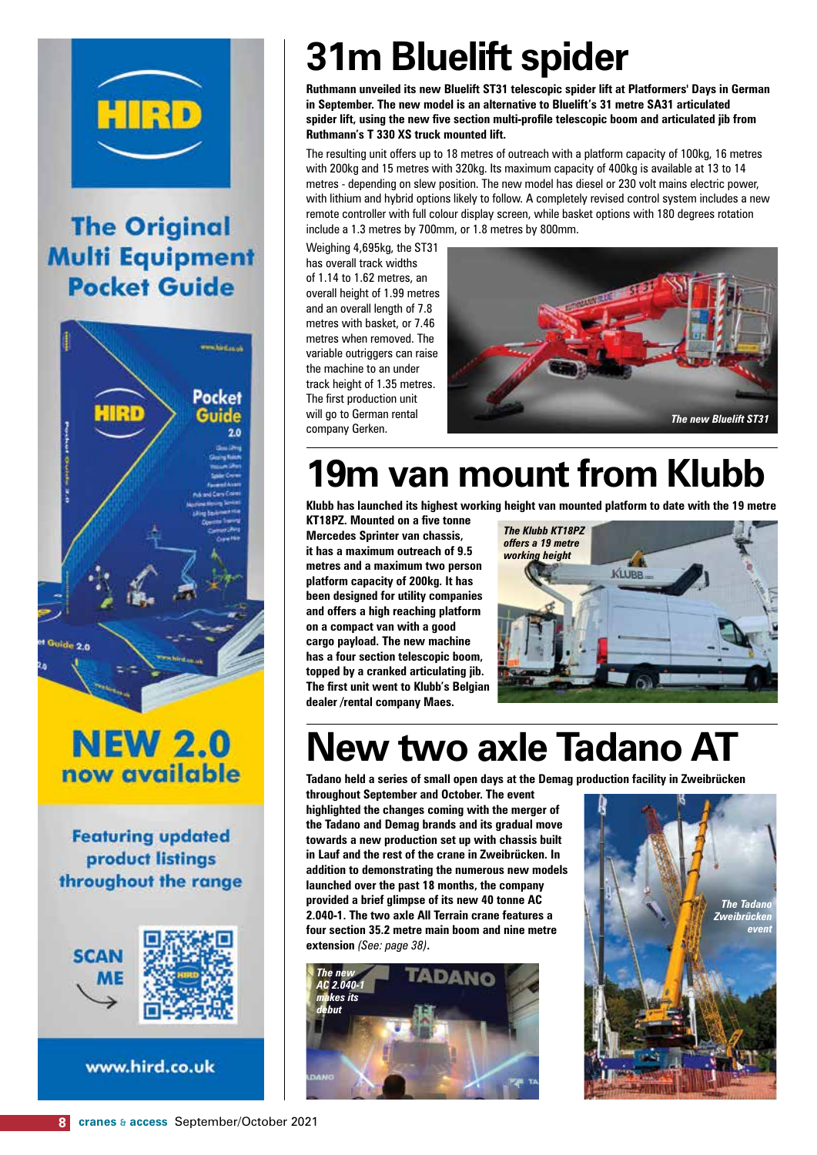

### **The Original Multi Equipment Pocket Guide**



### **NEW 2.0** now available

**Featuring updated** product listings throughout the range



www.hird.co.uk

# **31m Bluelift spider**

**Ruthmann unveiled its new Bluelift ST31 telescopic spider lift at Platformers' Days in German in September. The new model is an alternative to Bluelift's 31 metre SA31 articulated spider lift, using the new five section multi-profile telescopic boom and articulated jib from Ruthmann's T 330 XS truck mounted lift.**

The resulting unit offers up to 18 metres of outreach with a platform capacity of 100kg, 16 metres with 200kg and 15 metres with 320kg. Its maximum capacity of 400kg is available at 13 to 14 metres - depending on slew position. The new model has diesel or 230 volt mains electric power, with lithium and hybrid options likely to follow. A completely revised control system includes a new remote controller with full colour display screen, while basket options with 180 degrees rotation include a 1.3 metres by 700mm, or 1.8 metres by 800mm.

Weighing 4,695kg, the ST31 has overall track widths of 1.14 to 1.62 metres, an overall height of 1.99 metres and an overall length of 7.8 metres with basket, or 7.46 metres when removed. The variable outriggers can raise the machine to an under track height of 1.35 metres. The first production unit will go to German rental company Gerken.



### **19m van mount from Klubb**

**Klubb has launched its highest working height van mounted platform to date with the 19 metre** 

**KT18PZ. Mounted on a five tonne Mercedes Sprinter van chassis, it has a maximum outreach of 9.5 metres and a maximum two person platform capacity of 200kg. It has been designed for utility companies and offers a high reaching platform on a compact van with a good cargo payload. The new machine has a four section telescopic boom, topped by a cranked articulating jib. The first unit went to Klubb's Belgian dealer /rental company Maes.**



### **New two axle Tadano AT**

**Tadano held a series of small open days at the Demag production facility in Zweibrücken** 

**throughout September and October. The event highlighted the changes coming with the merger of the Tadano and Demag brands and its gradual move towards a new production set up with chassis built in Lauf and the rest of the crane in Zweibrücken. In addition to demonstrating the numerous new models launched over the past 18 months, the company provided a brief glimpse of its new 40 tonne AC 2.040-1. The two axle All Terrain crane features a four section 35.2 metre main boom and nine metre extension** *(See: page 38)***.**



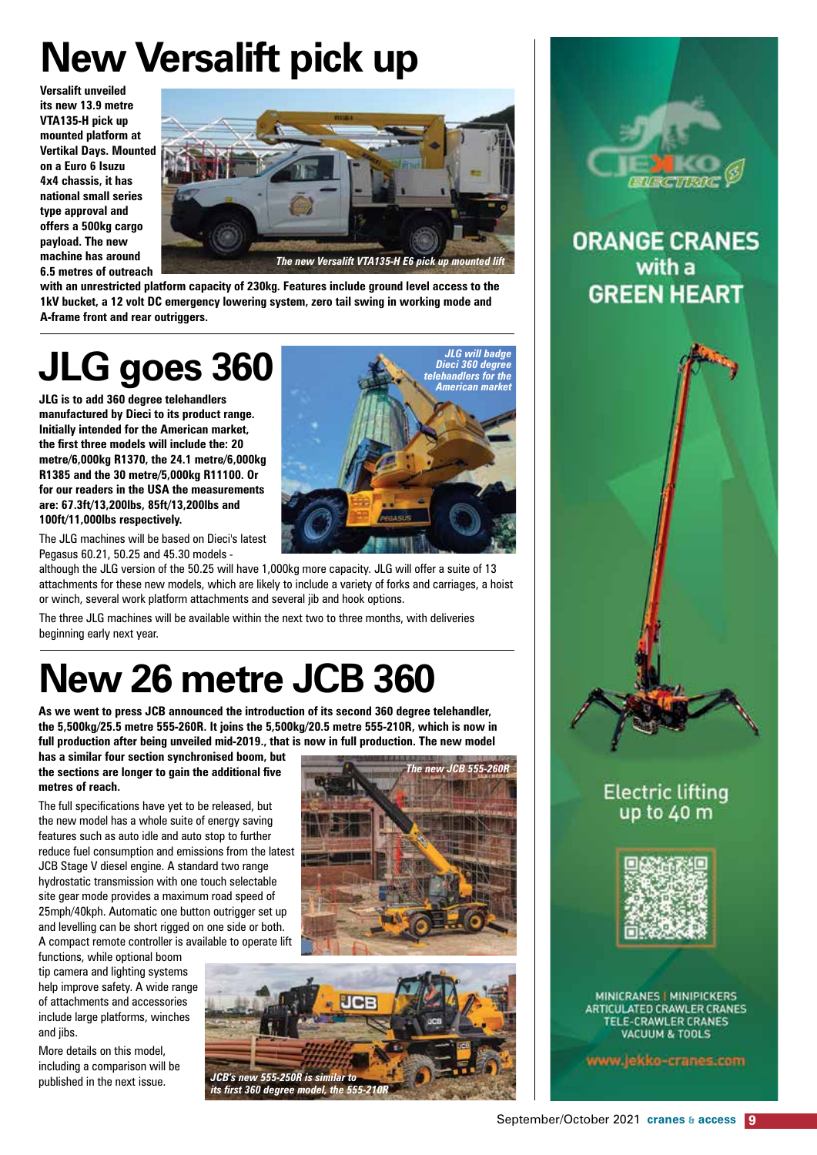# **New Versalift pick up**

**Versalift unveiled its new 13.9 metre VTA135-H pick up mounted platform at Vertikal Days. Mounted on a Euro 6 Isuzu 4x4 chassis, it has national small series type approval and offers a 500kg cargo payload. The new machine has around 6.5 metres of outreach** 



*JLG will badge Dieci 360 degree telehandlers for the American market*

**with an unrestricted platform capacity of 230kg. Features include ground level access to the 1kV bucket, a 12 volt DC emergency lowering system, zero tail swing in working mode and A-frame front and rear outriggers.**

## **JLG goes 360**

**JLG is to add 360 degree telehandlers manufactured by Dieci to its product range. Initially intended for the American market, the first three models will include the: 20 metre/6,000kg R1370, the 24.1 metre/6,000kg R1385 and the 30 metre/5,000kg R11100. Or for our readers in the USA the measurements are: 67.3ft/13,200lbs, 85ft/13,200lbs and 100ft/11,000lbs respectively.**

The JLG machines will be based on Dieci's latest Pegasus 60.21, 50.25 and 45.30 models -

although the JLG version of the 50.25 will have 1,000kg more capacity. JLG will offer a suite of 13 attachments for these new models, which are likely to include a variety of forks and carriages, a hoist or winch, several work platform attachments and several jib and hook options.

The three JLG machines will be available within the next two to three months, with deliveries beginning early next year.

### **New 26 metre JCB 360**

**As we went to press JCB announced the introduction of its second 360 degree telehandler, the 5,500kg/25.5 metre 555-260R. It joins the 5,500kg/20.5 metre 555-210R, which is now in full production after being unveiled mid-2019., that is now in full production. The new model** 

**has a similar four section synchronised boom, but the sections are longer to gain the additional five metres of reach.** 

The full specifications have yet to be released, but the new model has a whole suite of energy saving features such as auto idle and auto stop to further reduce fuel consumption and emissions from the latest JCB Stage V diesel engine. A standard two range hydrostatic transmission with one touch selectable site gear mode provides a maximum road speed of 25mph/40kph. Automatic one button outrigger set up and levelling can be short rigged on one side or both. A compact remote controller is available to operate lift

functions, while optional boom tip camera and lighting systems help improve safety. A wide range of attachments and accessories include large platforms, winches and *iibs*.

More details on this model, including a comparison will be published in the next issue.







**ORANGE CRANES** with a **GREEN HEART** 



#### **Electric lifting** up to 40 m



MINICRANES | MINIPICKERS ARTICULATED CRAWLER CRANES **TELE-CRAWLER CRANES VACUUM & TOOLS** 

www.jekko-cranes.com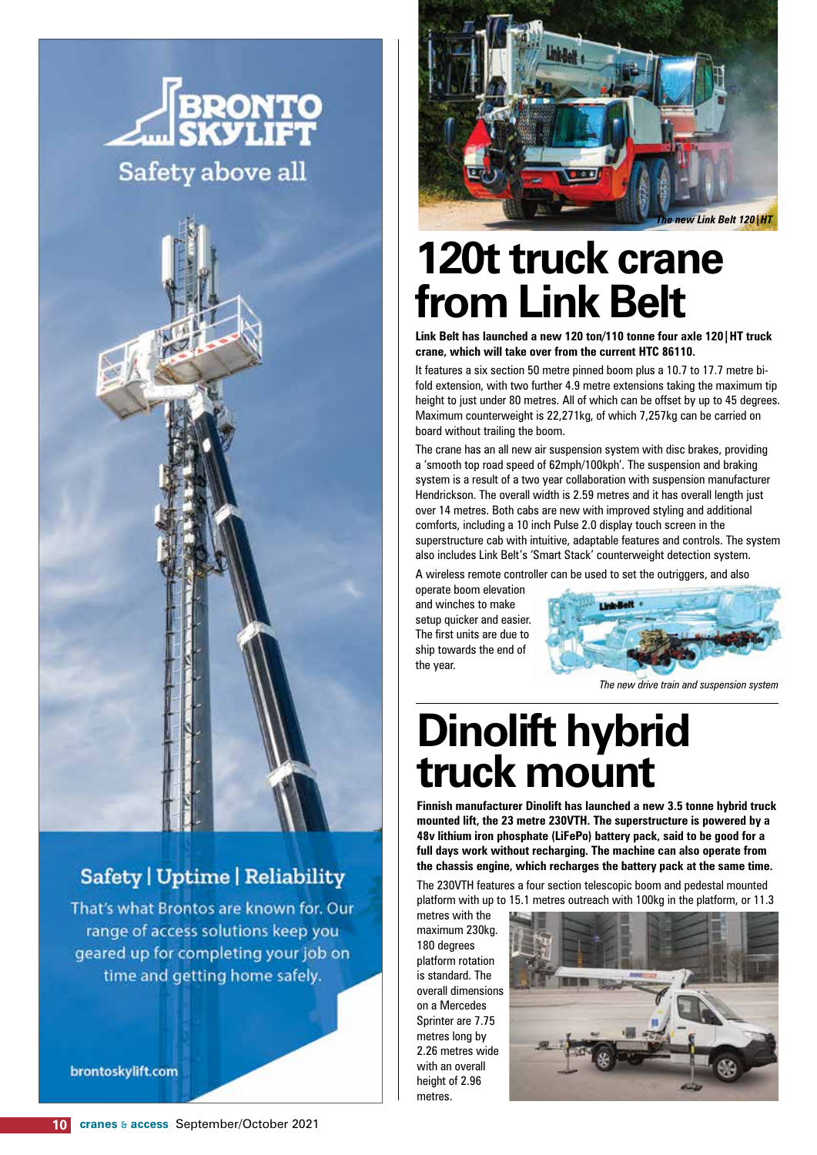



#### Safety | Uptime | Reliability

That's what Brontos are known for. Our range of access solutions keep you geared up for completing your job on time and getting home safely.

brontoskylift.com



### **120t truck crane from Link Belt**

**Link Belt has launched a new 120 ton/110 tonne four axle 120|HT truck crane, which will take over from the current HTC 86110.** 

It features a six section 50 metre pinned boom plus a 10.7 to 17.7 metre bifold extension, with two further 4.9 metre extensions taking the maximum tip height to just under 80 metres. All of which can be offset by up to 45 degrees. Maximum counterweight is 22,271kg, of which 7,257kg can be carried on board without trailing the boom.

The crane has an all new air suspension system with disc brakes, providing a 'smooth top road speed of 62mph/100kph'. The suspension and braking system is a result of a two year collaboration with suspension manufacturer Hendrickson. The overall width is 2.59 metres and it has overall length just over 14 metres. Both cabs are new with improved styling and additional comforts, including a 10 inch Pulse 2.0 display touch screen in the superstructure cab with intuitive, adaptable features and controls. The system also includes Link Belt's 'Smart Stack' counterweight detection system.

A wireless remote controller can be used to set the outriggers, and also

operate boom elevation and winches to make setup quicker and easier. The first units are due to ship towards the end of the year.



*The new drive train and suspension system*

### **Dinolift hybrid truck mount**

**Finnish manufacturer Dinolift has launched a new 3.5 tonne hybrid truck mounted lift, the 23 metre 230VTH. The superstructure is powered by a 48v lithium iron phosphate (LiFePo) battery pack, said to be good for a full days work without recharging. The machine can also operate from the chassis engine, which recharges the battery pack at the same time.** 

The 230VTH features a four section telescopic boom and pedestal mounted platform with up to 15.1 metres outreach with 100kg in the platform, or 11.3

metres with the maximum 230kg. 180 degrees platform rotation is standard. The overall dimensions on a Mercedes Sprinter are 7.75 metres long by 2.26 metres wide with an overall height of 2.96 metres.

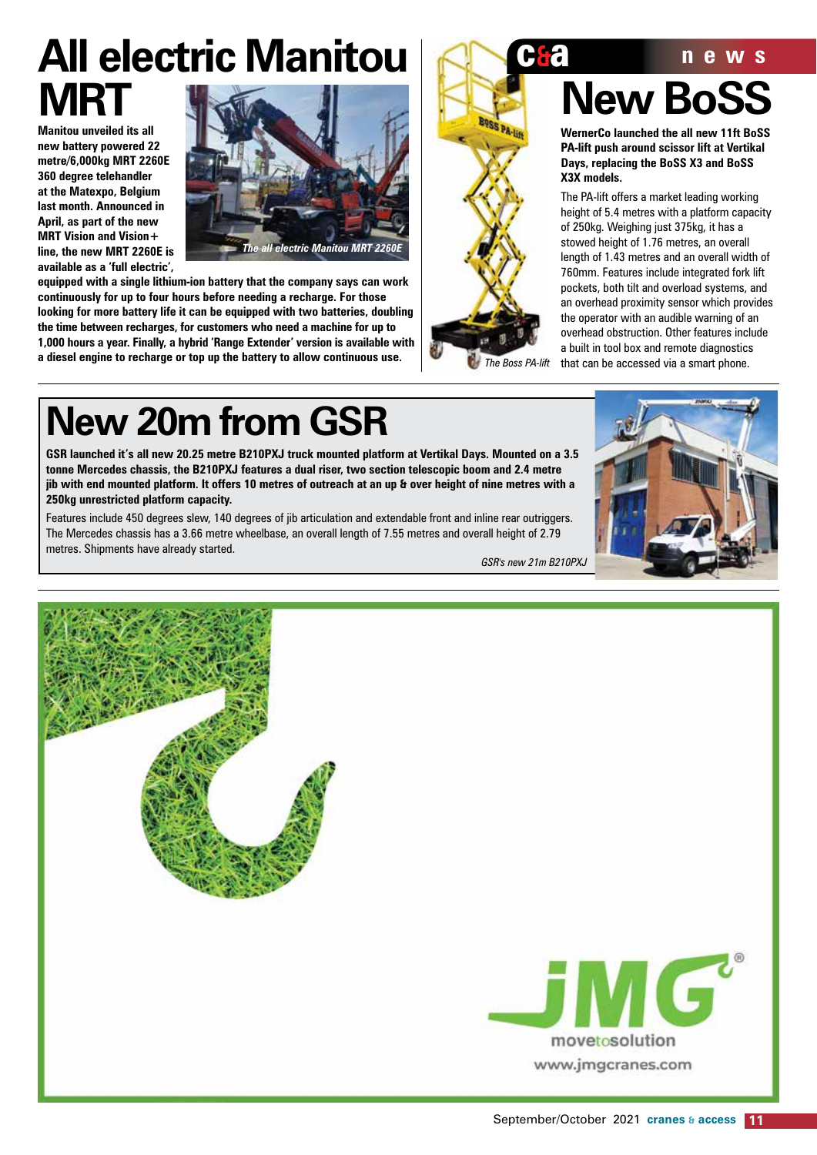## **All electric Manitou <b>CoCC news MRT**

**Manitou unveiled its all new battery powered 22 metre/6,000kg MRT 2260E 360 degree telehandler at the Matexpo, Belgium last month. Announced in April, as part of the new MRT Vision and Vision+ line, the new MRT 2260E is available as a 'full electric',** 



**equipped with a single lithium-ion battery that the company says can work continuously for up to four hours before needing a recharge. For those looking for more battery life it can be equipped with two batteries, doubling the time between recharges, for customers who need a machine for up to 1,000 hours a year. Finally, a hybrid 'Range Extender' version is available with a diesel engine to recharge or top up the battery to allow continuous use.**



# **New BoSS**

**WernerCo launched the all new 11ft BoSS PA-lift push around scissor lift at Vertikal Days, replacing the BoSS X3 and BoSS X3X models.** 

The PA-lift offers a market leading working height of 5.4 metres with a platform capacity of 250kg. Weighing just 375kg, it has a stowed height of 1.76 metres, an overall length of 1.43 metres and an overall width of 760mm. Features include integrated fork lift pockets, both tilt and overload systems, and an overhead proximity sensor which provides the operator with an audible warning of an overhead obstruction. Other features include a built in tool box and remote diagnostics *The Boss PA-lift* that can be accessed via a smart phone.

## **New 20m from GSR**

**GSR launched it's all new 20.25 metre B210PXJ truck mounted platform at Vertikal Days. Mounted on a 3.5 tonne Mercedes chassis, the B210PXJ features a dual riser, two section telescopic boom and 2.4 metre jib with end mounted platform. It offers 10 metres of outreach at an up & over height of nine metres with a 250kg unrestricted platform capacity.**

Features include 450 degrees slew, 140 degrees of jib articulation and extendable front and inline rear outriggers. The Mercedes chassis has a 3.66 metre wheelbase, an overall length of 7.55 metres and overall height of 2.79 metres. Shipments have already started.

*GSR's new 21m B210PXJ*

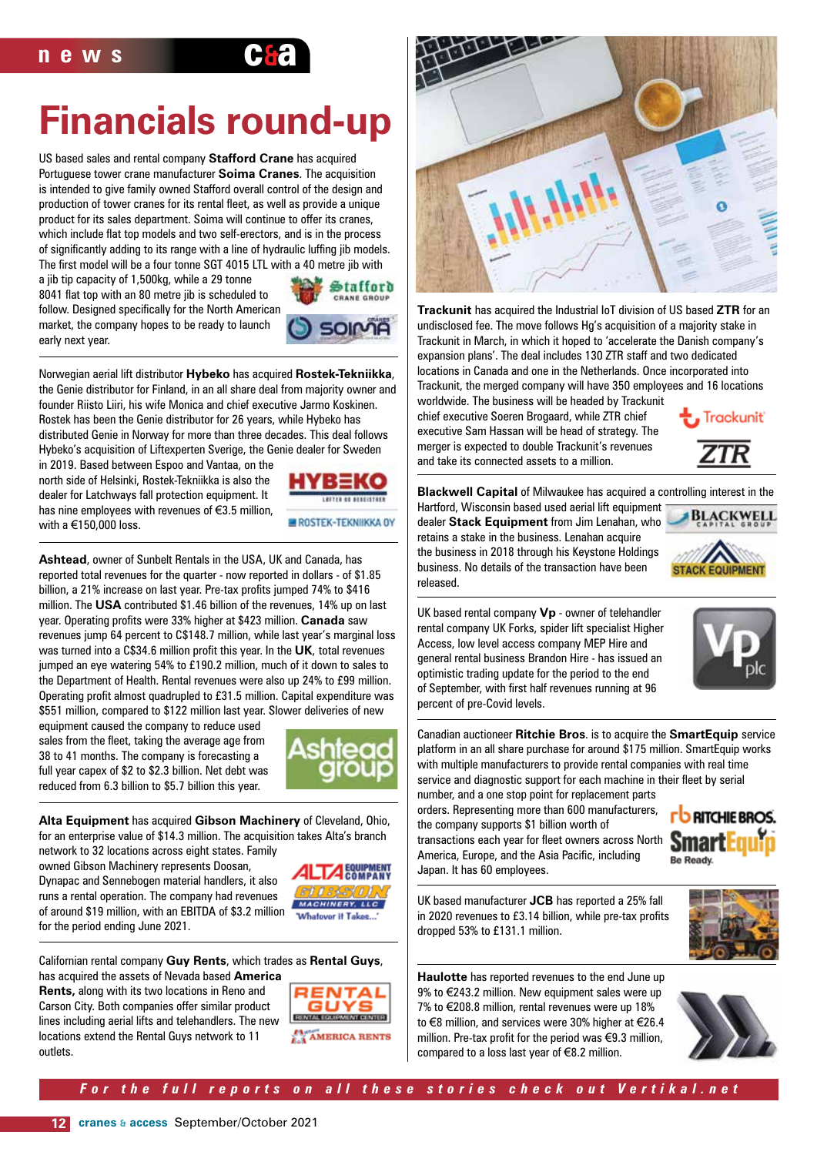

US based sales and rental company **Stafford Crane** has acquired Portuguese tower crane manufacturer **Soima Cranes**. The acquisition is intended to give family owned Stafford overall control of the design and production of tower cranes for its rental fleet, as well as provide a unique product for its sales department. Soima will continue to offer its cranes, which include flat top models and two self-erectors, and is in the process of significantly adding to its range with a line of hydraulic luffing jib models. The first model will be a four tonne SGT 4015 LTL with a 40 metre jib with

a jib tip capacity of 1,500kg, while a 29 tonne 8041 flat top with an 80 metre jib is scheduled to follow. Designed specifically for the North American market, the company hopes to be ready to launch early next year.



Norwegian aerial lift distributor **Hybeko** has acquired **Rostek-Tekniikka**, the Genie distributor for Finland, in an all share deal from majority owner and founder Riisto Liiri, his wife Monica and chief executive Jarmo Koskinen. Rostek has been the Genie distributor for 26 years, while Hybeko has distributed Genie in Norway for more than three decades. This deal follows Hybeko's acquisition of Liftexperten Sverige, the Genie dealer for Sweden

in 2019. Based between Espoo and Vantaa, on the north side of Helsinki, Rostek-Tekniikka is also the dealer for Latchways fall protection equipment. It has nine employees with revenues of €3.5 million, with a €150,000 loss.



**Ashtead**, owner of Sunbelt Rentals in the USA, UK and Canada, has reported total revenues for the quarter - now reported in dollars - of \$1.85 billion, a 21% increase on last year. Pre-tax profits jumped 74% to \$416 million. The **USA** contributed \$1.46 billion of the revenues, 14% up on last year. Operating profits were 33% higher at \$423 million. **Canada** saw revenues jump 64 percent to C\$148.7 million, while last year's marginal loss was turned into a C\$34.6 million profit this year. In the **UK**, total revenues jumped an eye watering 54% to £190.2 million, much of it down to sales to the Department of Health. Rental revenues were also up 24% to £99 million. Operating profit almost quadrupled to £31.5 million. Capital expenditure was \$551 million, compared to \$122 million last year. Slower deliveries of new

equipment caused the company to reduce used sales from the fleet, taking the average age from 38 to 41 months. The company is forecasting a full year capex of \$2 to \$2.3 billion. Net debt was reduced from 6.3 billion to \$5.7 billion this year.



**Alta Equipment** has acquired **Gibson Machinery** of Cleveland, Ohio, for an enterprise value of \$14.3 million. The acquisition takes Alta's branch network to 32 locations across eight states. Family

owned Gibson Machinery represents Doosan, Dynapac and Sennebogen material handlers, it also runs a rental operation. The company had revenues of around \$19 million, with an EBITDA of \$3.2 million for the period ending June 2021.



Californian rental company **Guy Rents**, which trades as **Rental Guys**,

has acquired the assets of Nevada based **America Rents,** along with its two locations in Reno and Carson City. Both companies offer similar product lines including aerial lifts and telehandlers. The new locations extend the Rental Guys network to 11 outlets.





**Trackunit** has acquired the Industrial IoT division of US based **ZTR** for an undisclosed fee. The move follows Hg's acquisition of a majority stake in Trackunit in March, in which it hoped to 'accelerate the Danish company's expansion plans'. The deal includes 130 ZTR staff and two dedicated locations in Canada and one in the Netherlands. Once incorporated into Trackunit, the merged company will have 350 employees and 16 locations worldwide. The business will be headed by Trackunit

chief executive Soeren Brogaard, while ZTR chief executive Sam Hassan will be head of strategy. The merger is expected to double Trackunit's revenues and take its connected assets to a million.



**Blackwell Capital** of Milwaukee has acquired a controlling interest in the

Hartford, Wisconsin based used aerial lift equipment dealer **Stack Equipment** from Jim Lenahan, who retains a stake in the business. Lenahan acquire the business in 2018 through his Keystone Holdings business. No details of the transaction have been released.



UK based rental company **Vp** - owner of telehandler rental company UK Forks, spider lift specialist Higher Access, low level access company MEP Hire and general rental business Brandon Hire - has issued an optimistic trading update for the period to the end of September, with first half revenues running at 96 percent of pre-Covid levels.



Canadian auctioneer **Ritchie Bros**. is to acquire the **SmartEquip** service platform in an all share purchase for around \$175 million. SmartEquip works with multiple manufacturers to provide rental companies with real time service and diagnostic support for each machine in their fleet by serial

number, and a one stop point for replacement parts orders. Representing more than 600 manufacturers, the company supports \$1 billion worth of transactions each year for fleet owners across North America, Europe, and the Asia Pacific, including Japan. It has 60 employees.



UK based manufacturer **JCB** has reported a 25% fall in 2020 revenues to £3.14 billion, while pre-tax profits dropped 53% to £131.1 million.



**Haulotte** has reported revenues to the end June up 9% to €243.2 million. New equipment sales were up 7% to €208.8 million, rental revenues were up 18% to €8 million, and services were 30% higher at €26.4 million. Pre-tax profit for the period was €9.3 million, compared to a loss last year of €8.2 million.



*For the full reports on all these stories check out Vertikal.net*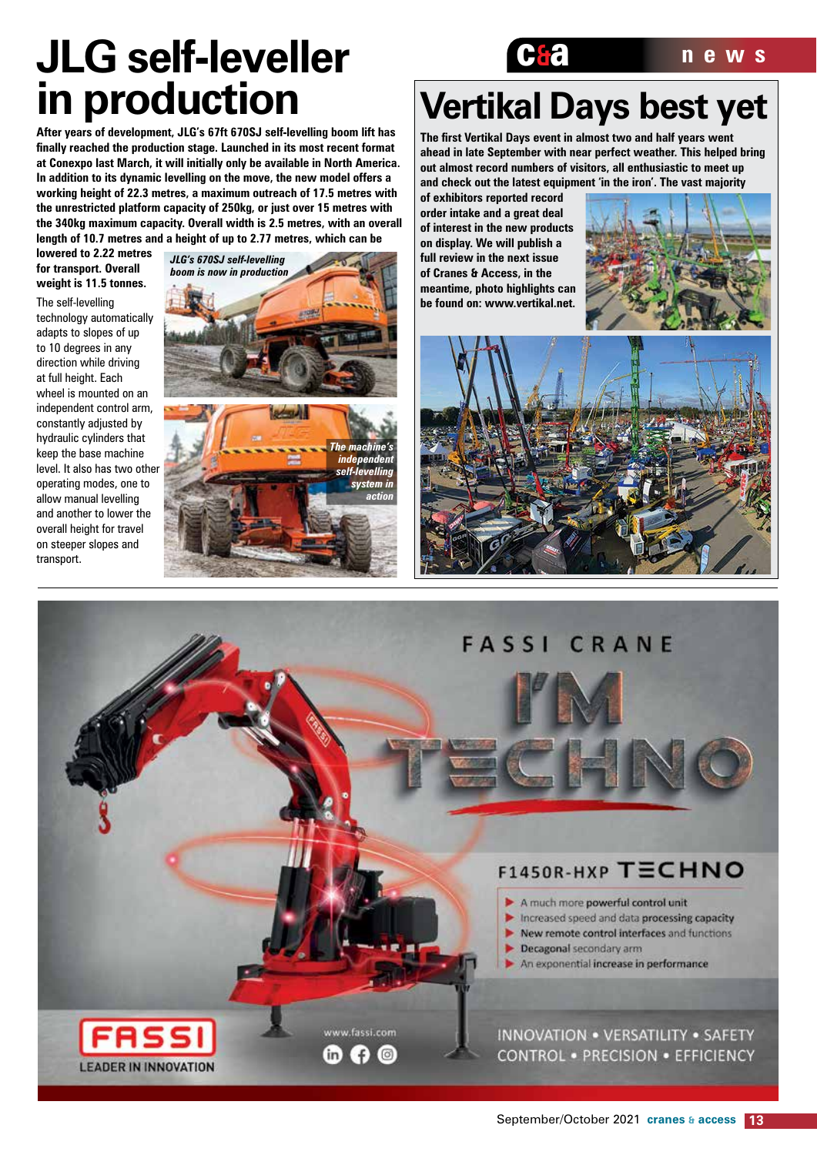## **JLG self-leveller C&a news in production**

**After years of development, JLG's 67ft 670SJ self-levelling boom lift has finally reached the production stage. Launched in its most recent format at Conexpo last March, it will initially only be available in North America. In addition to its dynamic levelling on the move, the new model offers a working height of 22.3 metres, a maximum outreach of 17.5 metres with the unrestricted platform capacity of 250kg, or just over 15 metres with the 340kg maximum capacity. Overall width is 2.5 metres, with an overall length of 10.7 metres and a height of up to 2.77 metres, which can be** 

**lowered to 2.22 metres for transport. Overall weight is 11.5 tonnes.**

The self-levelling technology automatically adapts to slopes of up to 10 degrees in any direction while driving at full height. Each wheel is mounted on an independent control arm, constantly adjusted by hydraulic cylinders that keep the base machine level. It also has two other operating modes, one to allow manual levelling and another to lower the overall height for travel on steeper slopes and transport.



# **Vertikal Days best yet**

**The first Vertikal Days event in almost two and half years went ahead in late September with near perfect weather. This helped bring out almost record numbers of visitors, all enthusiastic to meet up and check out the latest equipment 'in the iron'. The vast majority** 

**of exhibitors reported record order intake and a great deal of interest in the new products on display. We will publish a full review in the next issue of Cranes & Access, in the meantime, photo highlights can be found on: www.vertikal.net.** 





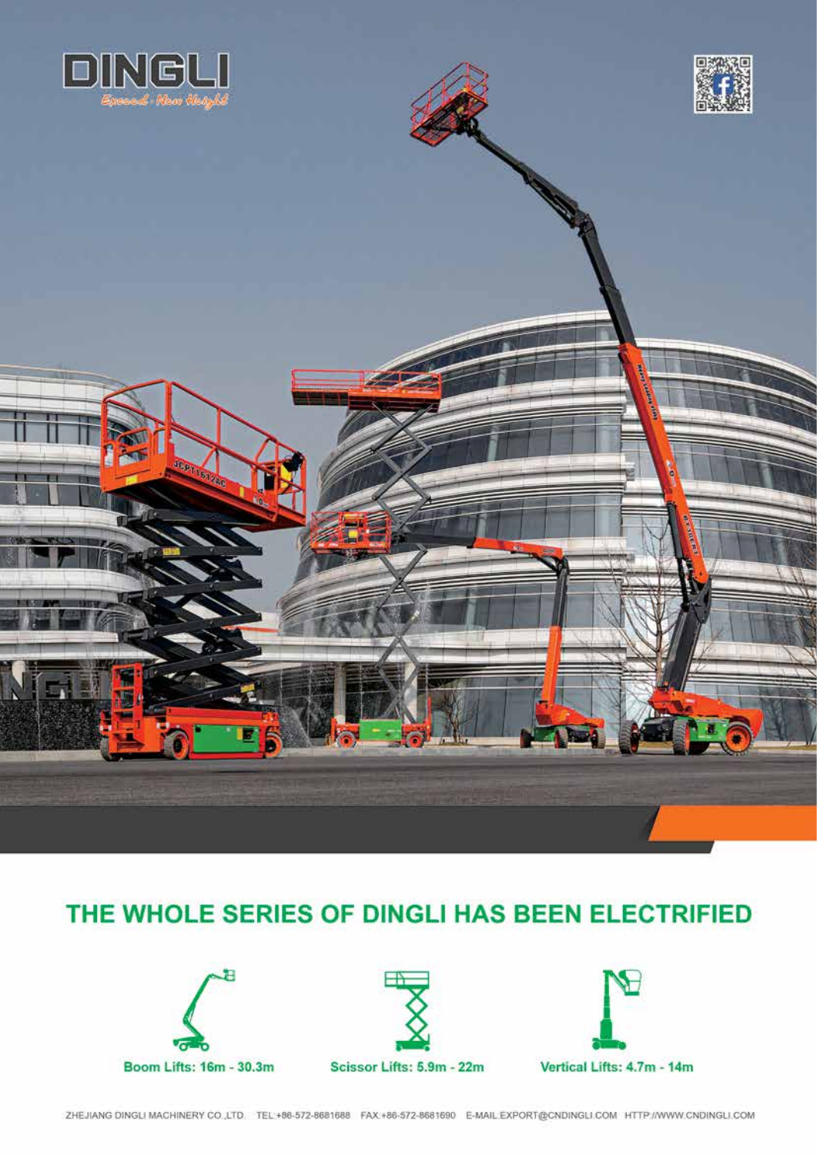

### THE WHOLE SERIES OF DINGLI HAS BEEN ELECTRIFIED







Vertical Lifts: 4.7m - 14m